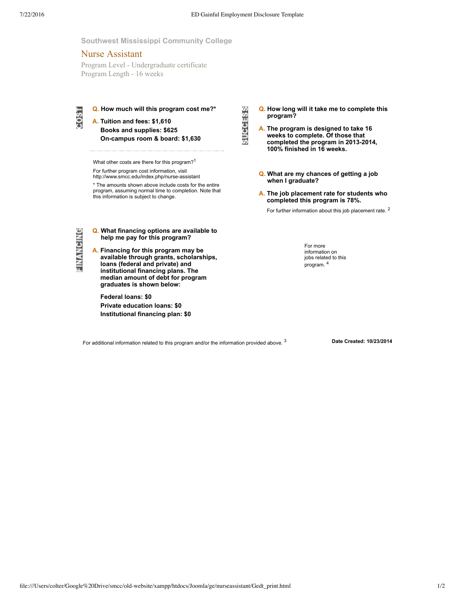**SUCCESS** 

## **Southwest Mississippi Community College**

# Nurse Assistant

Program Level - Undergraduate certificate Program Length - 16 weeks



**Q. How much will this program cost me?\* A. Tuition and fees: \$1,610**

**Books and supplies: \$625 Oncampus room & board: \$1,630**

What other costs are there for this program?<sup>1</sup>

For further program cost information, visit

http://www.smcc.edu/index.php/nurse-assistant

\* The amounts shown above include costs for the entire program, assuming normal time to completion. Note that this information is subject to change.

FINANCING

- **Q. What financing options are available to help me pay for this program?**
- **A. Financing for this program may be available through grants, scholarships, loans (federal and private) and institutional financing plans. The median amount of debt for program graduates is shown below:**

**Federal loans: \$0 Private education loans: \$0 Institutional financing plan: \$0** **Q. How long will it take me to complete this program?**

- **A. The program is designed to take 16 weeks to complete. Of those that completed the program in 20132014, 100% finished in 16 weeks.**
- **Q. What are my chances of getting a job when I graduate?**
- **A. The job placement rate for students who completed this program is 78%.**
	- For further information about this job placement rate. <sup>2</sup>

For more information on jobs related to this program. 4

For additional information related to this program and/or the information provided above.<sup>3</sup>

3 **Date Created: 10/23/2014**